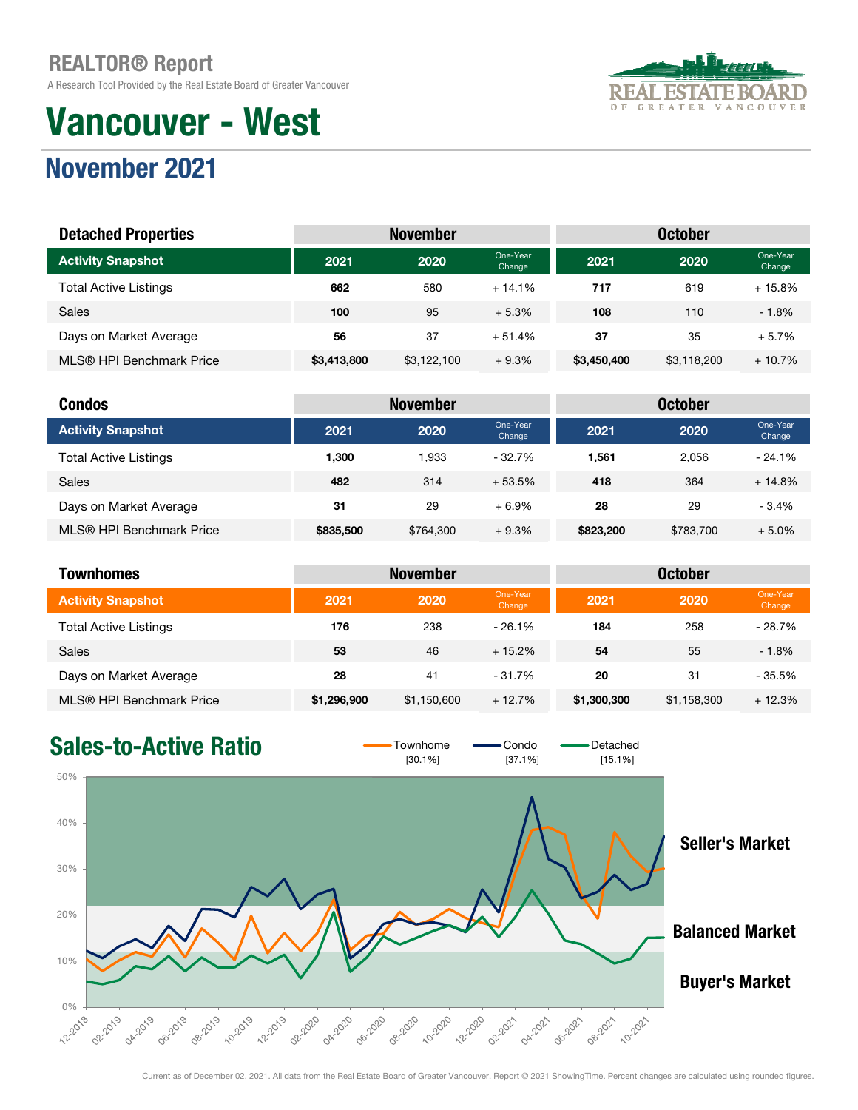A Research Tool Provided by the Real Estate Board of Greater Vancouver

# Vancouver - West



### November 2021

| <b>Detached Properties</b>   |             | <b>November</b> |                    |             |             |                    |
|------------------------------|-------------|-----------------|--------------------|-------------|-------------|--------------------|
| <b>Activity Snapshot</b>     | 2021        | 2020            | One-Year<br>Change | 2021        | 2020        | One-Year<br>Change |
| <b>Total Active Listings</b> | 662         | 580             | $+14.1%$           | 717         | 619         | $+15.8%$           |
| <b>Sales</b>                 | 100         | 95              | $+5.3%$            | 108         | 110         | $-1.8%$            |
| Days on Market Average       | 56          | 37              | $+51.4%$           | 37          | 35          | $+5.7%$            |
| MLS® HPI Benchmark Price     | \$3,413,800 | \$3,122,100     | $+9.3%$            | \$3,450,400 | \$3,118,200 | $+10.7%$           |

| <b>Condos</b>                |           | <b>November</b> |                    |           | <b>October</b> |                    |
|------------------------------|-----------|-----------------|--------------------|-----------|----------------|--------------------|
| <b>Activity Snapshot</b>     | 2021      | 2020            | One-Year<br>Change | 2021      | 2020           | One-Year<br>Change |
| <b>Total Active Listings</b> | 1.300     | .933            | $-32.7%$           | 1.561     | 2.056          | $-24.1%$           |
| <b>Sales</b>                 | 482       | 314             | $+53.5%$           | 418       | 364            | $+14.8%$           |
| Days on Market Average       | 31        | 29              | $+6.9%$            | 28        | 29             | $-3.4%$            |
| MLS® HPI Benchmark Price     | \$835,500 | \$764,300       | $+9.3%$            | \$823,200 | \$783.700      | $+5.0%$            |

| <b>Townhomes</b>             | <b>October</b><br><b>November</b> |             |                    |             |             |                    |
|------------------------------|-----------------------------------|-------------|--------------------|-------------|-------------|--------------------|
| <b>Activity Snapshot</b>     | 2021                              | 2020        | One-Year<br>Change | 2021        | 2020        | One-Year<br>Change |
| <b>Total Active Listings</b> | 176                               | 238         | $-26.1%$           | 184         | 258         | $-28.7%$           |
| <b>Sales</b>                 | 53                                | 46          | $+15.2\%$          | 54          | 55          | $-1.8%$            |
| Days on Market Average       | 28                                | 41          | $-31.7%$           | 20          | 31          | $-35.5%$           |
| MLS® HPI Benchmark Price     | \$1,296,900                       | \$1,150,600 | $+12.7%$           | \$1,300,300 | \$1,158,300 | $+12.3%$           |

#### Sales-to-Active Ratio  $\overline{\phantom{0}}$   $\overline{\phantom{0}}$   $\overline{\phantom{0}}$   $\overline{\phantom{0}}$   $\overline{\phantom{0}}$   $\overline{\phantom{0}}$   $\overline{\phantom{0}}$   $\overline{\phantom{0}}$   $\overline{\phantom{0}}$   $\overline{\phantom{0}}$   $\overline{\phantom{0}}$   $\overline{\phantom{0}}$   $\overline{\phantom{0}}$   $\overline{\phantom{0}}$   $\overline{\phantom{0}}$   $\overline{\phantom{0}}$   $\overline{\phantom$  $[37.1%]$ 50% 40% Seller's Market 30% 20% Balanced Market 10% Buyer's Market **222018** 12:2020 **OG-2020** 08:2019 10-2019 12:2019 OZ-2020 Oh-2020 O2:2019 OA-2019 OG-2019 OB-2020 10-2020 OZ.2021 OA-2021 06-2021 08-2021 10:2021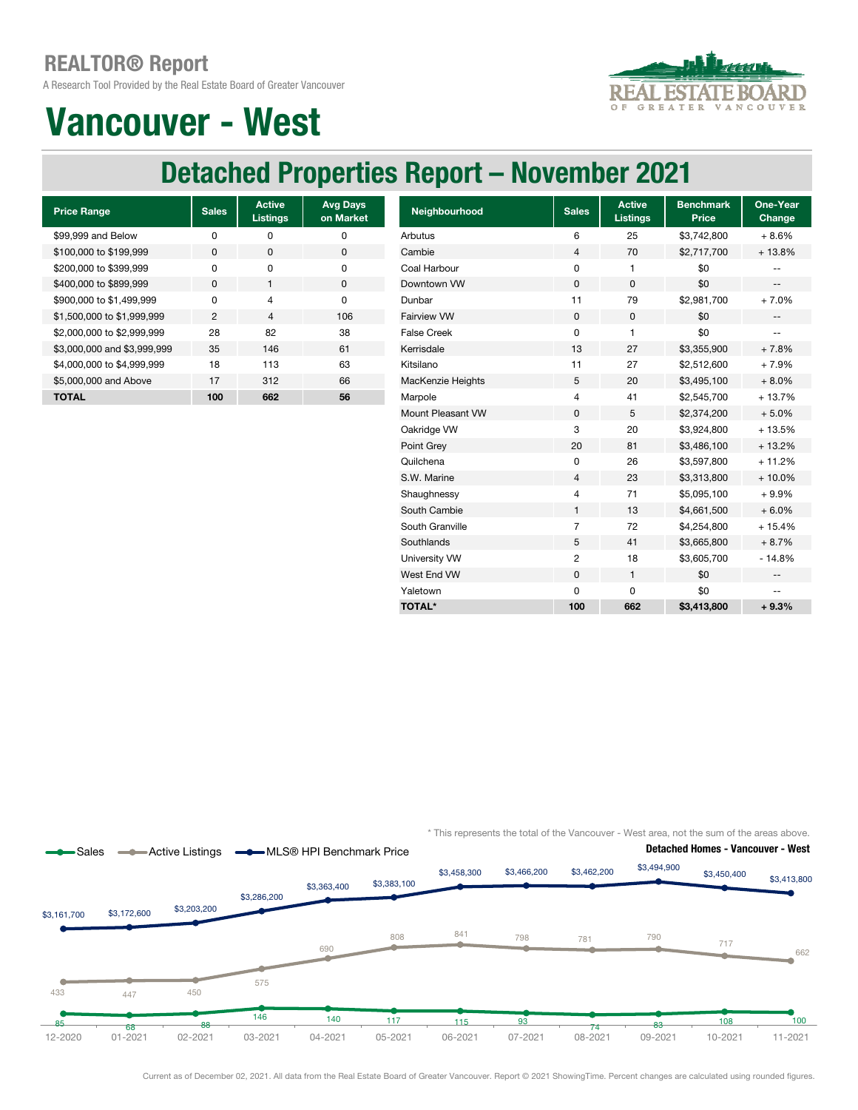A Research Tool Provided by the Real Estate Board of Greater Vancouver



# Vancouver - West

### Detached Properties Report – November 2021

| <b>Price Range</b>          | <b>Sales</b>   | <b>Active</b><br><b>Listings</b> | <b>Avg Days</b><br>on Market |
|-----------------------------|----------------|----------------------------------|------------------------------|
| \$99,999 and Below          | ŋ              | U                                | O                            |
| \$100,000 to \$199,999      | 0              | <sup>0</sup>                     | 0                            |
| \$200,000 to \$399,999      | O              | $\Omega$                         | O                            |
| \$400,000 to \$899,999      | $\Omega$       | 1                                | $\Omega$                     |
| \$900,000 to \$1,499,999    | ŋ              | 4                                | O                            |
| \$1,500,000 to \$1,999,999  | $\mathfrak{p}$ | $\overline{\mathcal{L}}$         | 106                          |
| \$2,000,000 to \$2,999,999  | 28             | 82                               | 38                           |
| \$3,000,000 and \$3,999,999 | 35             | 146                              | 61                           |
| \$4,000,000 to \$4,999,999  | 18             | 113                              | 63                           |
| \$5,000,000 and Above       | 17             | 312                              | 66                           |
| TOTAL                       | 100            | 662                              | 56                           |

| <b>Price Range</b>          | <b>Sales</b>   | <b>Active</b><br><b>Listings</b> | <b>Avg Days</b><br>on Market | Neighbourhood      | <b>Sales</b>   | <b>Active</b><br><b>Listings</b> | <b>Benchmark</b><br><b>Price</b> | One-Year<br><b>Change</b> |
|-----------------------------|----------------|----------------------------------|------------------------------|--------------------|----------------|----------------------------------|----------------------------------|---------------------------|
| \$99.999 and Below          | $\mathbf 0$    | 0                                | 0                            | Arbutus            | 6              | 25                               | \$3,742,800                      | $+8.6%$                   |
| \$100,000 to \$199.999      | 0              | 0                                | 0                            | Cambie             | 4              | 70                               | \$2,717,700                      | $+13.8%$                  |
| \$200,000 to \$399.999      | 0              | 0                                | 0                            | Coal Harbour       | 0              | 1                                | \$0                              |                           |
| \$400,000 to \$899,999      | $\mathbf 0$    | $\mathbf{1}$                     | $\pmb{0}$                    | Downtown VW        | $\mathsf 0$    | 0                                | \$0                              | $\overline{\phantom{a}}$  |
| \$900,000 to \$1,499,999    | $\mathbf 0$    | 4                                | $\mathbf 0$                  | Dunbar             | 11             | 79                               | \$2,981,700                      | $+7.0%$                   |
| \$1,500,000 to \$1,999,999  | $\overline{2}$ | $\overline{4}$                   | 106                          | <b>Fairview VW</b> | $\mathbf 0$    | 0                                | \$0                              | $\overline{\phantom{a}}$  |
| \$2,000,000 to \$2,999,999  | 28             | 82                               | 38                           | <b>False Creek</b> | 0              | $\mathbf{1}$                     | \$0                              | $- -$                     |
| \$3,000,000 and \$3,999,999 | 35             | 146                              | 61                           | Kerrisdale         | 13             | 27                               | \$3,355,900                      | $+7.8%$                   |
| \$4,000,000 to \$4,999,999  | 18             | 113                              | 63                           | Kitsilano          | 11             | 27                               | \$2,512,600                      | $+7.9%$                   |
| \$5,000,000 and Above       | 17             | 312                              | 66                           | MacKenzie Heights  | 5              | 20                               | \$3,495,100                      | $+8.0%$                   |
| <b>TOTAL</b>                | 100            | 662                              | 56                           | Marpole            | 4              | 41                               | \$2,545,700                      | $+13.7%$                  |
|                             |                |                                  |                              | Mount Pleasant VW  | 0              | 5                                | \$2,374,200                      | $+5.0%$                   |
|                             |                |                                  |                              | Oakridge VW        | 3              | 20                               | \$3,924,800                      | $+13.5%$                  |
|                             |                |                                  |                              | Point Grey         | 20             | 81                               | \$3,486,100                      | $+13.2%$                  |
|                             |                |                                  |                              | Quilchena          | 0              | 26                               | \$3,597,800                      | $+11.2%$                  |
|                             |                |                                  |                              | S.W. Marine        | 4              | 23                               | \$3,313,800                      | $+10.0%$                  |
|                             |                |                                  |                              | Shaughnessy        | 4              | 71                               | \$5,095,100                      | $+9.9%$                   |
|                             |                |                                  |                              | South Cambie       | $\mathbf{1}$   | 13                               | \$4,661,500                      | $+6.0%$                   |
|                             |                |                                  |                              | South Granville    | $\overline{7}$ | 72                               | \$4,254,800                      | $+15.4%$                  |
|                             |                |                                  |                              | Southlands         | 5              | 41                               | \$3,665,800                      | $+8.7%$                   |
|                             |                |                                  |                              | University VW      | $\overline{c}$ | 18                               | \$3,605,700                      | $-14.8%$                  |
|                             |                |                                  |                              | West End VW        | $\mathbf 0$    | $\mathbf{1}$                     | \$0                              | $- -$                     |
|                             |                |                                  |                              | Yaletown           | 0              | 0                                | \$0                              | $\overline{\phantom{m}}$  |
|                             |                |                                  |                              | <b>TOTAL*</b>      | 100            | 662                              | \$3,413,800                      | $+9.3%$                   |
|                             |                |                                  |                              |                    |                |                                  |                                  |                           |

\* This represents the total of the Vancouver - West area, not the sum of the areas above.

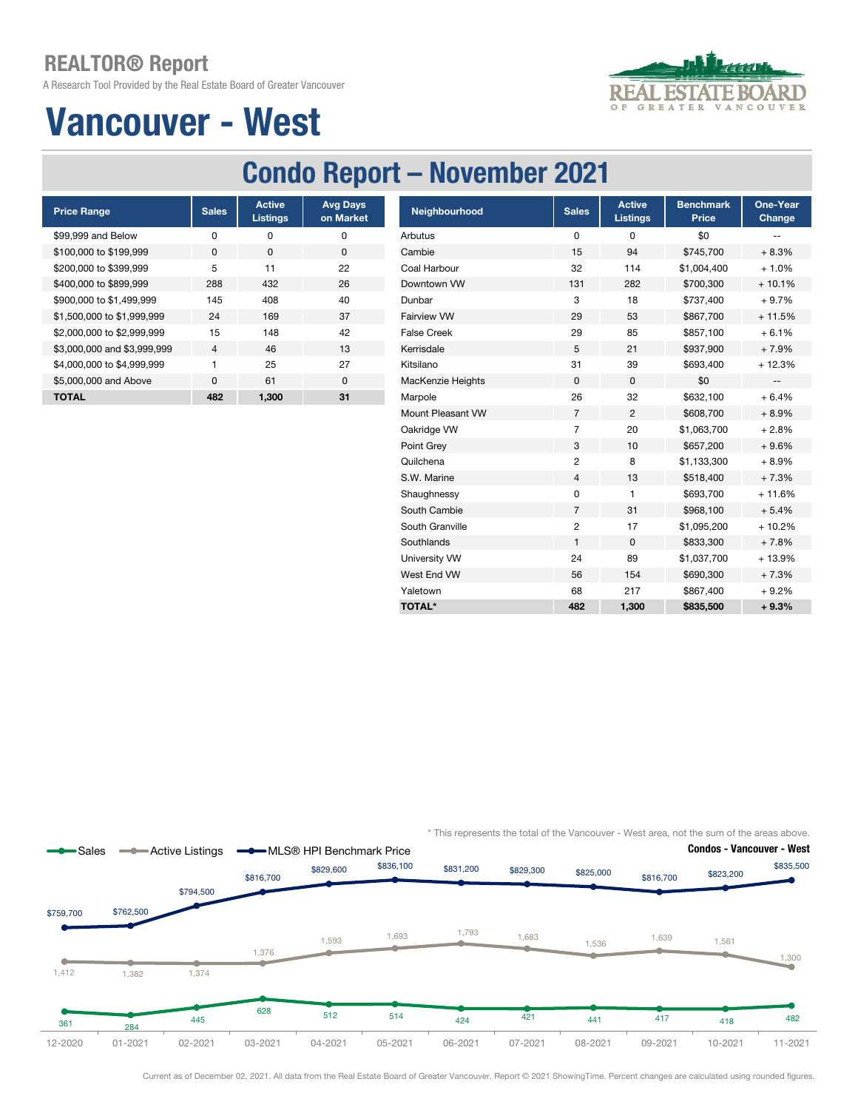A Research Tool Provided by the Real Estate Board of Greater Vancouver



# Vancouver - West

## Condo Report – November 2021

| <b>Price Range</b>          | <b>Sales</b>   | <b>Active</b><br><b>Listings</b> | <b>Avg Days</b><br>on Market |
|-----------------------------|----------------|----------------------------------|------------------------------|
| \$99,999 and Below          | ŋ              | ŋ                                | 0                            |
| \$100,000 to \$199,999      | <sup>0</sup>   | O                                | 0                            |
| \$200,000 to \$399,999      | 5              | 11                               | 22                           |
| \$400,000 to \$899,999      | 288            | 432                              | 26                           |
| \$900,000 to \$1,499,999    | 145            | 408                              | 40                           |
| \$1,500,000 to \$1,999,999  | 24             | 169                              | 37                           |
| \$2,000,000 to \$2,999,999  | 15             | 148                              | 42                           |
| \$3,000,000 and \$3,999,999 | $\overline{4}$ | 46                               | 13                           |
| \$4,000,000 to \$4,999,999  |                | 25                               | 27                           |
| \$5,000,000 and Above       | $\Omega$       | 61                               | $\Omega$                     |
| <b>TOTAL</b>                | 482            | 1.300                            | 31                           |

| <b>Price Range</b>          | <b>Sales</b> | <b>Active</b><br><b>Listings</b> | <b>Avg Days</b><br>on Market | Neighbourhood      | <b>Sales</b>            | <b>Active</b><br><b>Listings</b> | <b>Benchmark</b><br>Price | One-Year<br>Change       |
|-----------------------------|--------------|----------------------------------|------------------------------|--------------------|-------------------------|----------------------------------|---------------------------|--------------------------|
| \$99,999 and Below          | $\pmb{0}$    | 0                                | 0                            | Arbutus            | 0                       | 0                                | \$0                       | $-$                      |
| \$100,000 to \$199,999      | 0            | $\mathbf 0$                      | $\mathbf 0$                  | Cambie             | 15                      | 94                               | \$745,700                 | $+8.3%$                  |
| \$200,000 to \$399,999      | 5            | 11                               | 22                           | Coal Harbour       | 32                      | 114                              | \$1,004,400               | $+1.0%$                  |
| \$400,000 to \$899,999      | 288          | 432                              | 26                           | Downtown VW        | 131                     | 282                              | \$700,300                 | $+10.1%$                 |
| \$900,000 to \$1,499,999    | 145          | 408                              | 40                           | Dunbar             | 3                       | 18                               | \$737,400                 | $+9.7%$                  |
| \$1,500,000 to \$1,999,999  | 24           | 169                              | 37                           | Fairview VW        | 29                      | 53                               | \$867,700                 | $+11.5%$                 |
| \$2,000,000 to \$2,999,999  | 15           | 148                              | 42                           | <b>False Creek</b> | 29                      | 85                               | \$857,100                 | $+6.1%$                  |
| \$3,000,000 and \$3,999,999 | 4            | 46                               | 13                           | Kerrisdale         | 5                       | 21                               | \$937,900                 | $+7.9%$                  |
| \$4,000,000 to \$4,999,999  | 1            | 25                               | 27                           | Kitsilano          | 31                      | 39                               | \$693,400                 | $+12.3%$                 |
| \$5,000,000 and Above       | $\mathbf 0$  | 61                               | 0                            | MacKenzie Heights  | $\mathbf{0}$            | 0                                | \$0                       | $\overline{\phantom{m}}$ |
| <b>TOTAL</b>                | 482          | 1,300                            | 31                           | Marpole            | 26                      | 32                               | \$632,100                 | $+6.4%$                  |
|                             |              |                                  |                              | Mount Pleasant VW  | 7                       | $\overline{c}$                   | \$608,700                 | $+8.9%$                  |
|                             |              |                                  |                              | Oakridge VW        | $\overline{7}$          | 20                               | \$1,063,700               | $+2.8%$                  |
|                             |              |                                  |                              | Point Grey         | 3                       | 10                               | \$657,200                 | $+9.6%$                  |
|                             |              |                                  |                              | Quilchena          | 2                       | 8                                | \$1,133,300               | $+8.9%$                  |
|                             |              |                                  |                              | S.W. Marine        | $\overline{4}$          | 13                               | \$518,400                 | $+7.3%$                  |
|                             |              |                                  |                              | Shaughnessy        | 0                       | 1                                | \$693,700                 | $+11.6%$                 |
|                             |              |                                  |                              | South Cambie       | $\overline{7}$          | 31                               | \$968,100                 | $+5.4%$                  |
|                             |              |                                  |                              | South Granville    | $\overline{\mathbf{c}}$ | 17                               | \$1,095,200               | $+10.2%$                 |
|                             |              |                                  |                              | Southlands         | 1                       | 0                                | \$833,300                 | $+7.8%$                  |
|                             |              |                                  |                              | University VW      | 24                      | 89                               | \$1,037,700               | + 13.9%                  |
|                             |              |                                  |                              | West End VW        | 56                      | 154                              | \$690,300                 | $+7.3%$                  |
|                             |              |                                  |                              | Yaletown           | 68                      | 217                              | \$867,400                 | $+9.2%$                  |
|                             |              |                                  |                              | <b>TOTAL*</b>      | 482                     | 1,300                            | \$835,500                 | $+9.3%$                  |

\* This represents the total of the Vancouver - West area, not the sum of the areas above.

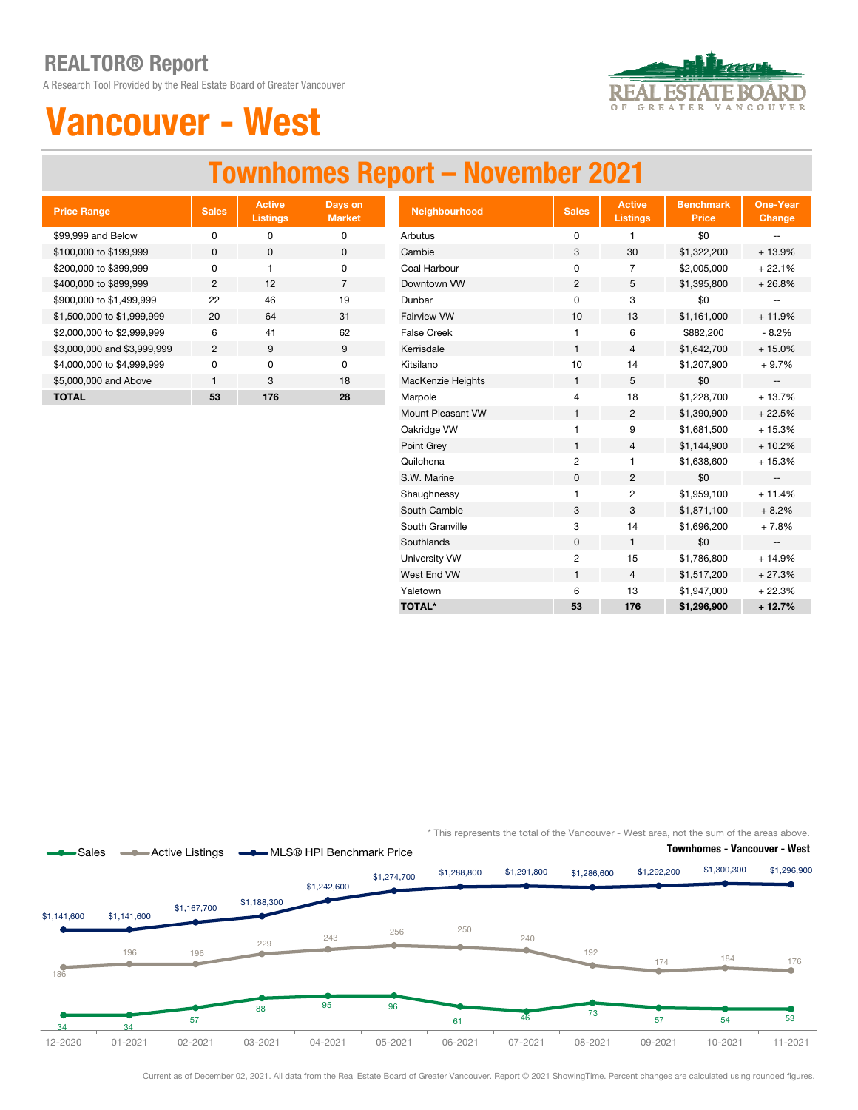A Research Tool Provided by the Real Estate Board of Greater Vancouver



# Vancouver - West

### Townhomes Report – November 2021

| <b>Price Range</b>          | <b>Sales</b>   | <b>Active</b><br><b>Listings</b> | Days on<br><b>Market</b> |
|-----------------------------|----------------|----------------------------------|--------------------------|
| \$99,999 and Below          | O              | ŋ                                | O                        |
| \$100,000 to \$199,999      | $\Omega$       | O                                | 0                        |
| \$200,000 to \$399,999      | U              | 1                                | 0                        |
| \$400,000 to \$899,999      | 2              | $12 \overline{ }$                | 7                        |
| \$900,000 to \$1,499,999    | 22             | 46                               | 19                       |
| \$1,500,000 to \$1,999,999  | 20             | 64                               | 31                       |
| \$2,000,000 to \$2,999,999  | 6              | 41                               | 62                       |
| \$3,000,000 and \$3,999,999 | $\mathfrak{p}$ | 9                                | 9                        |
| \$4,000,000 to \$4,999,999  | O              | 0                                | O                        |
| \$5,000,000 and Above       | 1              | 3                                | 18                       |
| TOTAL                       | 53             | 176                              | 28                       |

| <b>Price Range</b>          | <b>Sales</b>   | <b>Active</b><br><b>Listings</b> | Days on<br><b>Market</b> | Neighbourhood      | <b>Sales</b>            | <b>Active</b><br><b>Listings</b> | <b>Benchmark</b><br><b>Price</b> | <b>One-Year</b><br>Change |
|-----------------------------|----------------|----------------------------------|--------------------------|--------------------|-------------------------|----------------------------------|----------------------------------|---------------------------|
| \$99,999 and Below          | $\pmb{0}$      | 0                                | $\mathsf 0$              | Arbutus            | 0                       | 1                                | \$0                              | $\sim$ $\sim$             |
| \$100,000 to \$199,999      | 0              | $\mathbf 0$                      | $\mathbf 0$              | Cambie             | 3                       | 30                               | \$1,322,200                      | $+13.9%$                  |
| \$200,000 to \$399.999      | 0              | $\mathbf{1}$                     | 0                        | Coal Harbour       | 0                       | $\overline{7}$                   | \$2,005,000                      | $+22.1%$                  |
| \$400,000 to \$899,999      | $\overline{2}$ | 12                               | $\overline{7}$           | Downtown VW        | $\overline{2}$          | 5                                | \$1,395,800                      | $+26.8%$                  |
| \$900,000 to \$1,499,999    | 22             | 46                               | 19                       | Dunbar             | 0                       | 3                                | \$0                              |                           |
| \$1,500,000 to \$1,999,999  | 20             | 64                               | 31                       | <b>Fairview VW</b> | 10                      | 13                               | \$1,161,000                      | $+11.9%$                  |
| \$2,000,000 to \$2,999,999  | 6              | 41                               | 62                       | <b>False Creek</b> | $\mathbf{1}$            | 6                                | \$882,200                        | $-8.2%$                   |
| \$3,000,000 and \$3,999,999 | $\overline{2}$ | 9                                | 9                        | Kerrisdale         | $\mathbf{1}$            | 4                                | \$1,642,700                      | $+15.0%$                  |
| \$4,000,000 to \$4,999,999  | $\pmb{0}$      | 0                                | $\pmb{0}$                | Kitsilano          | 10                      | 14                               | \$1,207,900                      | $+9.7%$                   |
| \$5,000,000 and Above       | $\mathbf{1}$   | 3                                | 18                       | MacKenzie Heights  | 1                       | 5                                | \$0                              | $\sim$                    |
| <b>TOTAL</b>                | 53             | 176                              | 28                       | Marpole            | 4                       | 18                               | \$1,228,700                      | $+13.7%$                  |
|                             |                |                                  |                          | Mount Pleasant VW  | $\mathbf{1}$            | $\overline{c}$                   | \$1,390,900                      | $+22.5%$                  |
|                             |                |                                  |                          | Oakridge VW        | $\mathbf{1}$            | 9                                | \$1,681,500                      | $+15.3%$                  |
|                             |                |                                  |                          | Point Grey         | $\mathbf{1}$            | 4                                | \$1,144,900                      | $+10.2%$                  |
|                             |                |                                  |                          | Quilchena          | $\overline{c}$          | 1                                | \$1,638,600                      | $+15.3%$                  |
|                             |                |                                  |                          | S.W. Marine        | $\mathbf 0$             | 2                                | \$0                              | $\sim$                    |
|                             |                |                                  |                          | Shaughnessy        |                         | 2                                | \$1,959,100                      | $+11.4%$                  |
|                             |                |                                  |                          | South Cambie       | 3                       | 3                                | \$1,871,100                      | $+8.2%$                   |
|                             |                |                                  |                          | South Granville    | 3                       | 14                               | \$1,696,200                      | $+7.8%$                   |
|                             |                |                                  |                          | Southlands         | $\mathsf 0$             | $\mathbf{1}$                     | \$0                              | $\sim$                    |
|                             |                |                                  |                          | University VW      | $\overline{\mathbf{c}}$ | 15                               | \$1,786,800                      | $+14.9%$                  |
|                             |                |                                  |                          | West End VW        | $\mathbf{1}$            | 4                                | \$1,517,200                      | $+27.3%$                  |
|                             |                |                                  |                          | Yaletown           | 6                       | 13                               | \$1,947,000                      | $+22.3%$                  |
|                             |                |                                  |                          | <b>TOTAL*</b>      | 53                      | 176                              | \$1,296,900                      | $+12.7%$                  |



\* This represents the total of the Vancouver - West area, not the sum of the areas above.